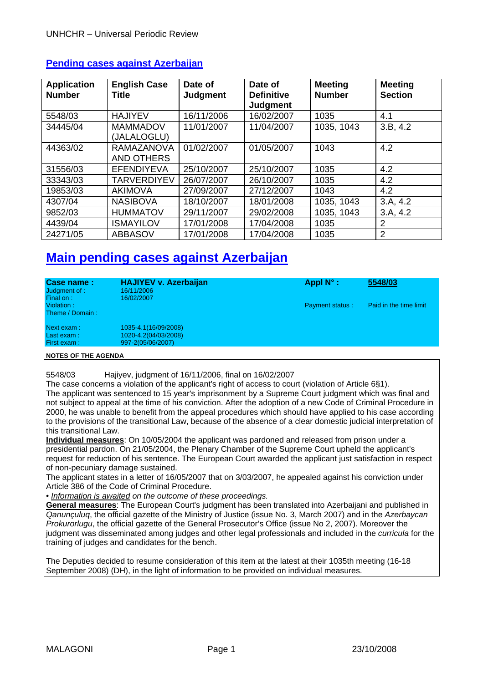| <b>Application</b><br><b>Number</b> | <b>English Case</b><br><b>Title</b> | Date of<br><b>Judgment</b> | Date of<br><b>Definitive</b><br><b>Judgment</b> | <b>Meeting</b><br><b>Number</b> | <b>Meeting</b><br><b>Section</b> |
|-------------------------------------|-------------------------------------|----------------------------|-------------------------------------------------|---------------------------------|----------------------------------|
| 5548/03                             | <b>HAJIYEV</b>                      | 16/11/2006                 | 16/02/2007                                      | 1035                            | 4.1                              |
| 34445/04                            | <b>MAMMADOV</b><br>(JALALOGLU)      | 11/01/2007                 | 11/04/2007                                      | 1035, 1043                      | 3.B. 4.2                         |
| 44363/02                            | RAMAZANOVA<br><b>AND OTHERS</b>     | 01/02/2007                 | 01/05/2007                                      | 1043                            | 4.2                              |
| 31556/03                            | <b>EFENDIYEVA</b>                   | 25/10/2007                 | 25/10/2007                                      | 1035                            | 4.2                              |
| 33343/03                            | <b>TARVERDIYEV</b>                  | 26/07/2007                 | 26/10/2007                                      | 1035                            | 4.2                              |
| 19853/03                            | <b>AKIMOVA</b>                      | 27/09/2007                 | 27/12/2007                                      | 1043                            | 4.2                              |
| 4307/04                             | <b>NASIBOVA</b>                     | 18/10/2007                 | 18/01/2008                                      | 1035, 1043                      | 3.A.4.2                          |
| 9852/03                             | <b>HUMMATOV</b>                     | 29/11/2007                 | 29/02/2008                                      | 1035, 1043                      | 3.A, 4.2                         |
| 4439/04                             | <b>ISMAYILOV</b>                    | 17/01/2008                 | 17/04/2008                                      | 1035                            | 2                                |
| 24271/05                            | <b>ABBASOV</b>                      | 17/01/2008                 | 17/04/2008                                      | 1035                            | 2                                |

## **Pending cases against Azerbaijan**

# **Main pending cases against Azerbaijan**

| Case name:<br>Judgment of :<br>Final on: | <b>HAJIYEV v. Azerbaijan</b><br>16/11/2006<br>16/02/2007 | Appl $N^{\circ}$ :     | 5548/03                |
|------------------------------------------|----------------------------------------------------------|------------------------|------------------------|
| Violation:<br>Theme / Domain:            |                                                          | <b>Payment status:</b> | Paid in the time limit |
| Next exam :                              | 1035-4.1(16/09/2008)                                     |                        |                        |
| Last exam:                               | 1020-4.2(04/03/2008)                                     |                        |                        |
| First exam:                              | 997-2(05/06/2007)                                        |                        |                        |

#### **NOTES OF THE AGENDA**

5548/03 Hajiyev, judgment of 16/11/2006, final on 16/02/2007

The case concerns a violation of the applicant's right of access to court (violation of Article 6§1). The applicant was sentenced to 15 year's imprisonment by a Supreme Court judgment which was final and not subject to appeal at the time of his conviction. After the adoption of a new Code of Criminal Procedure in 2000, he was unable to benefit from the appeal procedures which should have applied to his case according to the provisions of the transitional Law, because of the absence of a clear domestic judicial interpretation of this transitional Law.

**Individual measures**: On 10/05/2004 the applicant was pardoned and released from prison under a presidential pardon. On 21/05/2004, the Plenary Chamber of the Supreme Court upheld the applicant's request for reduction of his sentence. The European Court awarded the applicant just satisfaction in respect of non-pecuniary damage sustained.

The applicant states in a letter of 16/05/2007 that on 3/03/2007, he appealed against his conviction under Article 386 of the Code of Criminal Procedure.

• *Information is awaited on the outcome of these proceedings.* 

**General measures**: The European Court's judgment has been translated into Azerbaijani and published in *Qanunçuluq*, the official gazette of the Ministry of Justice (issue No. 3, March 2007) and in the *Azerbaycan Prokurorlugu*, the official gazette of the General Prosecutor's Office (issue No 2, 2007). Moreover the judgment was disseminated among judges and other legal professionals and included in the *curricula* for the training of judges and candidates for the bench.

The Deputies decided to resume consideration of this item at the latest at their 1035th meeting (16-18 September 2008) (DH), in the light of information to be provided on individual measures.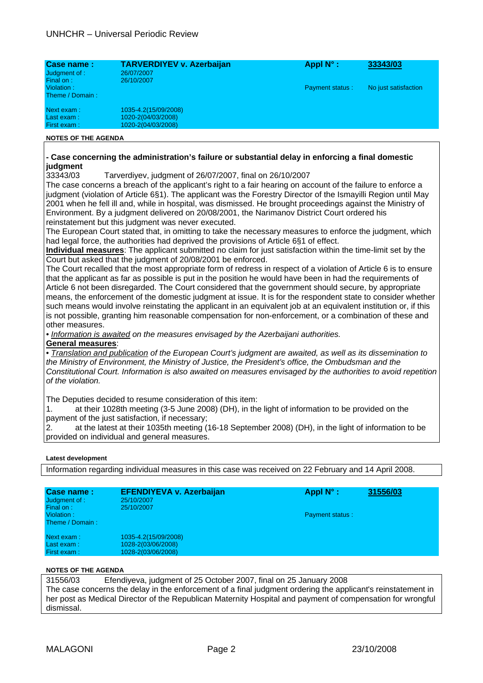| Case name:<br>Judgment of :<br>Final on: | <b>TARVERDIYEV v. Azerbaijan</b><br>26/07/2007<br>26/10/2007     | Appl $N^{\circ}$ :     | 33343/03             |
|------------------------------------------|------------------------------------------------------------------|------------------------|----------------------|
| Violation:<br>Theme / Domain:            |                                                                  | <b>Payment status:</b> | No just satisfaction |
| Next exam:<br>Last exam:<br>First exam:  | 1035-4.2(15/09/2008)<br>1020-2(04/03/2008)<br>1020-2(04/03/2008) |                        |                      |
| <b>NOTES OF THE AGENDA</b>               |                                                                  |                        |                      |

# **- Case concerning the administration's failure or substantial delay in enforcing a final domestic judgment**

33343/03 Tarverdiyev, judgment of 26/07/2007, final on 26/10/2007

The case concerns a breach of the applicant's right to a fair hearing on account of the failure to enforce a judgment (violation of Article 6§1). The applicant was the Forestry Director of the Ismayilli Region until May 2001 when he fell ill and, while in hospital, was dismissed. He brought proceedings against the Ministry of Environment. By a judgment delivered on 20/08/2001, the Narimanov District Court ordered his reinstatement but this judgment was never executed.

The European Court stated that, in omitting to take the necessary measures to enforce the judgment, which had legal force, the authorities had deprived the provisions of Article 6§1 of effect.

**Individual measures**: The applicant submitted no claim for just satisfaction within the time-limit set by the Court but asked that the judgment of 20/08/2001 be enforced.

The Court recalled that the most appropriate form of redress in respect of a violation of Article 6 is to ensure that the applicant as far as possible is put in the position he would have been in had the requirements of Article 6 not been disregarded. The Court considered that the government should secure, by appropriate means, the enforcement of the domestic judgment at issue. It is for the respondent state to consider whether such means would involve reinstating the applicant in an equivalent job at an equivalent institution or, if this is not possible, granting him reasonable compensation for non-enforcement, or a combination of these and other measures.

*• Information is awaited on the measures envisaged by the Azerbaijani authorities.* 

#### **General measures**:

• *Translation and publication of the European Court's judgment are awaited, as well as its dissemination to the Ministry of Environment, the Ministry of Justice, the President's office, the Ombudsman and the Constitutional Court. Information is also awaited on measures envisaged by the authorities to avoid repetition of the violation.* 

The Deputies decided to resume consideration of this item:

1. at their 1028th meeting (3-5 June 2008) (DH), in the light of information to be provided on the payment of the just satisfaction, if necessary;

2. at the latest at their 1035th meeting (16-18 September 2008) (DH), in the light of information to be provided on individual and general measures.

#### **Latest development**

Information regarding individual measures in this case was received on 22 February and 14 April 2008.

| <b>Case name:</b><br>Judgment of :<br>Final on: | <b>EFENDIYEVA v. Azerbaijan</b><br>25/10/2007<br>25/10/2007 | Appl $N^{\circ}$ :     | 31556/03 |
|-------------------------------------------------|-------------------------------------------------------------|------------------------|----------|
| Violation:<br>Theme / Domain:                   |                                                             | <b>Payment status:</b> |          |
| Next exam:<br>Last exam:                        | 1035-4.2(15/09/2008)<br>1028-2(03/06/2008)                  |                        |          |
| First exam:                                     | 1028-2(03/06/2008)                                          |                        |          |

#### **NOTES OF THE AGENDA**

31556/03 Efendiyeva, judgment of 25 October 2007, final on 25 January 2008 The case concerns the delay in the enforcement of a final judgment ordering the applicant's reinstatement in her post as Medical Director of the Republican Maternity Hospital and payment of compensation for wrongful dismissal.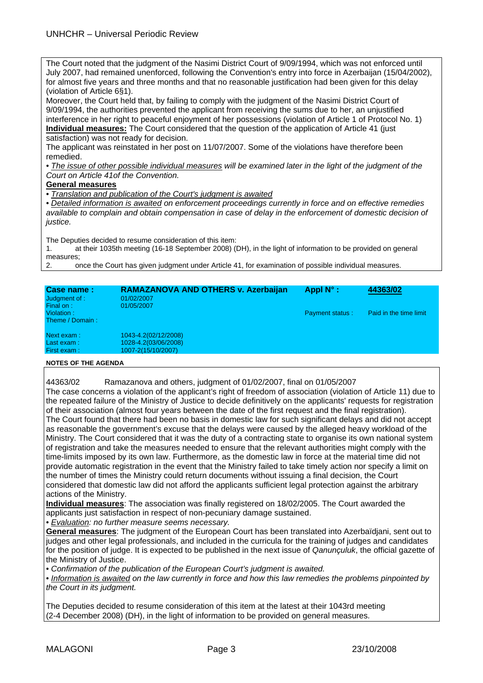The Court noted that the judgment of the Nasimi District Court of 9/09/1994, which was not enforced until July 2007, had remained unenforced, following the Convention's entry into force in Azerbaijan (15/04/2002), for almost five years and three months and that no reasonable justification had been given for this delay (violation of Article 6§1).

Moreover, the Court held that, by failing to comply with the judgment of the Nasimi District Court of 9/09/1994, the authorities prevented the applicant from receiving the sums due to her, an unjustified interference in her right to peaceful enjoyment of her possessions (violation of Article 1 of Protocol No. 1) **Individual measures:** The Court considered that the question of the application of Article 41 (just satisfaction) was not ready for decision.

The applicant was reinstated in her post on 11/07/2007. Some of the violations have therefore been remedied.

• The issue of other possible individual measures will be examined later in the light of the judgment of the *Court on Article 41of the Convention.* 

#### **General measures**

*• Translation and publication of the Court's judgment is awaited*

*• Detailed information is awaited on enforcement proceedings currently in force and on effective remedies available to complain and obtain compensation in case of delay in the enforcement of domestic decision of justice.* 

The Deputies decided to resume consideration of this item:

1. at their 1035th meeting (16-18 September 2008) (DH), in the light of information to be provided on general measures;

2. once the Court has given judgment under Article 41, for examination of possible individual measures.

| <b>Case name:</b><br>Judgment of :<br>Final on: | RAMAZANOVA AND OTHERS v. Azerbaijan<br>01/02/2007<br>01/05/2007 | Appl $N^{\circ}$ :     | 44363/02               |
|-------------------------------------------------|-----------------------------------------------------------------|------------------------|------------------------|
| Violation:<br>Theme / Domain:                   |                                                                 | <b>Payment status:</b> | Paid in the time limit |
| Next exam :                                     | 1043-4.2(02/12/2008)                                            |                        |                        |
| Last exam:                                      | 1028-4.2(03/06/2008)                                            |                        |                        |
| First exam:                                     | 1007-2(15/10/2007)                                              |                        |                        |

#### **NOTES OF THE AGENDA**

44363/02 Ramazanova and others, judgment of 01/02/2007, final on 01/05/2007

The case concerns a violation of the applicant's right of freedom of association (violation of Article 11) due to the repeated failure of the Ministry of Justice to decide definitively on the applicants' requests for registration of their association (almost four years between the date of the first request and the final registration). The Court found that there had been no basis in domestic law for such significant delays and did not accept as reasonable the government's excuse that the delays were caused by the alleged heavy workload of the Ministry. The Court considered that it was the duty of a contracting state to organise its own national system of registration and take the measures needed to ensure that the relevant authorities might comply with the time-limits imposed by its own law. Furthermore, as the domestic law in force at the material time did not provide automatic registration in the event that the Ministry failed to take timely action nor specify a limit on the number of times the Ministry could return documents without issuing a final decision, the Court considered that domestic law did not afford the applicants sufficient legal protection against the arbitrary actions of the Ministry.

**Individual measures**: The association was finally registered on 18/02/2005. The Court awarded the applicants just satisfaction in respect of non-pecuniary damage sustained.

• *Evaluation: no further measure seems necessary.*

**General measures**: The judgment of the European Court has been translated into Azerbaïdjani, sent out to judges and other legal professionals, and included in the curricula for the training of judges and candidates for the position of judge. It is expected to be published in the next issue of *Qanunçuluk*, the official gazette of the Ministry of Justice.

• *Confirmation of the publication of the European Court's judgment is awaited.* 

• *Information is awaited on the law currently in force and how this law remedies the problems pinpointed by the Court in its judgment.* 

The Deputies decided to resume consideration of this item at the latest at their 1043rd meeting (2-4 December 2008) (DH), in the light of information to be provided on general measures.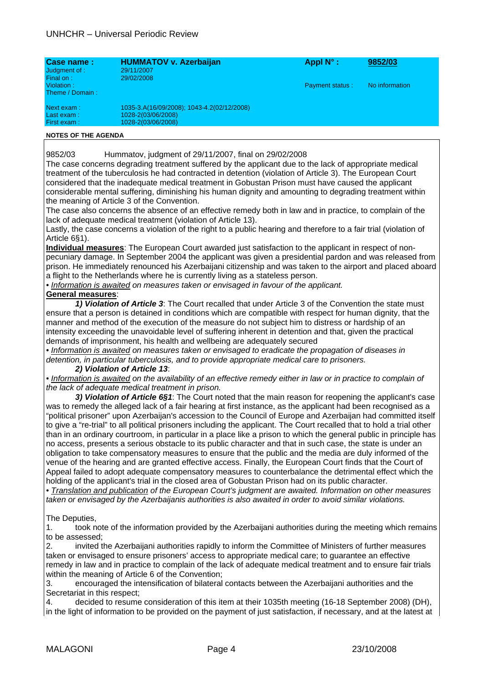| Case name:      | <b>HUMMATOV v. Azerbaijan</b>              | Appl $N^{\circ}$ :     | 9852/03        |
|-----------------|--------------------------------------------|------------------------|----------------|
| Judgment of :   | 29/11/2007                                 |                        |                |
| Final on:       | 29/02/2008                                 |                        |                |
| Violation:      |                                            | <b>Payment status:</b> | No information |
| Theme / Domain: |                                            |                        |                |
| Next exam :     | 1035-3.A(16/09/2008); 1043-4.2(02/12/2008) |                        |                |
| Last exam:      | 1028-2(03/06/2008)                         |                        |                |
| First exam:     | 1028-2(03/06/2008)                         |                        |                |

#### **NOTES OF THE AGENDA**

9852/03 Hummatov, judgment of 29/11/2007, final on 29/02/2008

The case concerns degrading treatment suffered by the applicant due to the lack of appropriate medical treatment of the tuberculosis he had contracted in detention (violation of Article 3). The European Court considered that the inadequate medical treatment in Gobustan Prison must have caused the applicant considerable mental suffering, diminishing his human dignity and amounting to degrading treatment within the meaning of Article 3 of the Convention.

The case also concerns the absence of an effective remedy both in law and in practice, to complain of the lack of adequate medical treatment (violation of Article 13).

Lastly, the case concerns a violation of the right to a public hearing and therefore to a fair trial (violation of Article 6§1).

**Individual measures**: The European Court awarded just satisfaction to the applicant in respect of nonpecuniary damage. In September 2004 the applicant was given a presidential pardon and was released from prison. He immediately renounced his Azerbaijani citizenship and was taken to the airport and placed aboard a flight to the Netherlands where he is currently living as a stateless person.

• Information is awaited on measures taken or envisaged in favour of the applicant. **General measures**:

*1) Violation of Article 3*: The Court recalled that under Article 3 of the Convention the state must ensure that a person is detained in conditions which are compatible with respect for human dignity, that the manner and method of the execution of the measure do not subject him to distress or hardship of an intensity exceeding the unavoidable level of suffering inherent in detention and that, given the practical demands of imprisonment, his health and wellbeing are adequately secured

*• Information is awaited on measures taken or envisaged to eradicate the propagation of diseases in detention, in particular tuberculosis, and to provide appropriate medical care to prisoners.* 

*2) Violation of Article 13*:

• Information is awaited on the availability of an effective remedy either in law or in practice to complain of *the lack of adequate medical treatment in prison.* 

*3) Violation of Article 6§1*: The Court noted that the main reason for reopening the applicant's case was to remedy the alleged lack of a fair hearing at first instance, as the applicant had been recognised as a "political prisoner" upon Azerbaijan's accession to the Council of Europe and Azerbaijan had committed itself to give a "re-trial" to all political prisoners including the applicant. The Court recalled that to hold a trial other than in an ordinary courtroom, in particular in a place like a prison to which the general public in principle has no access, presents a serious obstacle to its public character and that in such case, the state is under an obligation to take compensatory measures to ensure that the public and the media are duly informed of the venue of the hearing and are granted effective access. Finally, the European Court finds that the Court of Appeal failed to adopt adequate compensatory measures to counterbalance the detrimental effect which the holding of the applicant's trial in the closed area of Gobustan Prison had on its public character.

*• Translation and publication of the European Court's judgment are awaited. Information on other measures taken or envisaged by the Azerbaijanis authorities is also awaited in order to avoid similar violations.*

#### The Deputies,

1. took note of the information provided by the Azerbaijani authorities during the meeting which remains to be assessed;

2. invited the Azerbaijani authorities rapidly to inform the Committee of Ministers of further measures taken or envisaged to ensure prisoners' access to appropriate medical care; to guarantee an effective remedy in law and in practice to complain of the lack of adequate medical treatment and to ensure fair trials within the meaning of Article 6 of the Convention;

3. encouraged the intensification of bilateral contacts between the Azerbaijani authorities and the Secretariat in this respect;

4. decided to resume consideration of this item at their 1035th meeting (16-18 September 2008) (DH), in the light of information to be provided on the payment of just satisfaction, if necessary, and at the latest at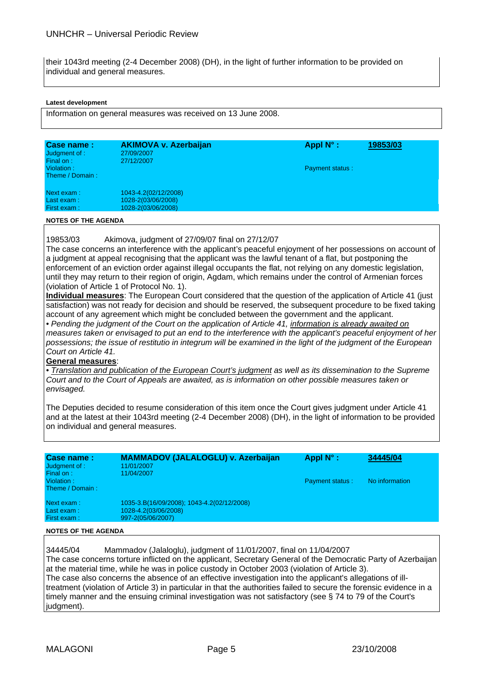their 1043rd meeting (2-4 December 2008) (DH), in the light of further information to be provided on individual and general measures.

#### **Latest development**

Information on general measures was received on 13 June 2008.

| Case name:<br>Judgment of :<br>Final on: | <b>AKIMOVA v. Azerbaijan</b><br>27/09/2007<br>27/12/2007         | Appl $N^{\circ}$ : | 19853/03 |
|------------------------------------------|------------------------------------------------------------------|--------------------|----------|
| Violation:<br>Theme / Domain:            |                                                                  | Payment status:    |          |
| Next exam:<br>Last exam :<br>First exam: | 1043-4.2(02/12/2008)<br>1028-2(03/06/2008)<br>1028-2(03/06/2008) |                    |          |

#### **NOTES OF THE AGENDA**

19853/03 Akimova, judgment of 27/09/07 final on 27/12/07

The case concerns an interference with the applicant's peaceful enjoyment of her possessions on account of a judgment at appeal recognising that the applicant was the lawful tenant of a flat, but postponing the enforcement of an eviction order against illegal occupants the flat, not relying on any domestic legislation, until they may return to their region of origin, Agdam, which remains under the control of Armenian forces (violation of Article 1 of Protocol No. 1).

**Individual measures**: The European Court considered that the question of the application of Article 41 (just satisfaction) was not ready for decision and should be reserved, the subsequent procedure to be fixed taking account of any agreement which might be concluded between the government and the applicant.

*• Pending the judgment of the Court on the application of Article 41, information is already awaited on* measures taken or envisaged to put an end to the interference with the applicant's peaceful enjoyment of her *possessions; the issue of restitutio in integrum will be examined in the light of the judgment of the European Court on Article 41.* 

#### **General measures**:

*• Translation and publication of the European Court's judgment as well as its dissemination to the Supreme Court and to the Court of Appeals are awaited, as is information on other possible measures taken or envisaged.* 

The Deputies decided to resume consideration of this item once the Court gives judgment under Article 41 and at the latest at their 1043rd meeting (2-4 December 2008) (DH), in the light of information to be provided on individual and general measures.

| Case name:<br>Judgment of :                | <b>MAMMADOV (JALALOGLU) v. Azerbaijan</b><br>11/01/2007 | Appl $N^{\circ}$ :     | 34445/04       |  |
|--------------------------------------------|---------------------------------------------------------|------------------------|----------------|--|
| Final on:<br>Violation:<br>Theme / Domain: | 11/04/2007                                              | <b>Payment status:</b> | No information |  |
| Next exam:                                 | 1035-3.B(16/09/2008); 1043-4.2(02/12/2008)              |                        |                |  |
| Last exam:                                 | 1028-4.2(03/06/2008)                                    |                        |                |  |
| First exam:                                | 997-2(05/06/2007)                                       |                        |                |  |

#### **NOTES OF THE AGENDA**

34445/04 Mammadov (Jalaloglu), judgment of 11/01/2007, final on 11/04/2007 The case concerns torture inflicted on the applicant, Secretary General of the Democratic Party of Azerbaijan at the material time, while he was in police custody in October 2003 (violation of Article 3). The case also concerns the absence of an effective investigation into the applicant's allegations of illtreatment (violation of Article 3) in particular in that the authorities failed to secure the forensic evidence in a timely manner and the ensuing criminal investigation was not satisfactory (see § 74 to 79 of the Court's judgment).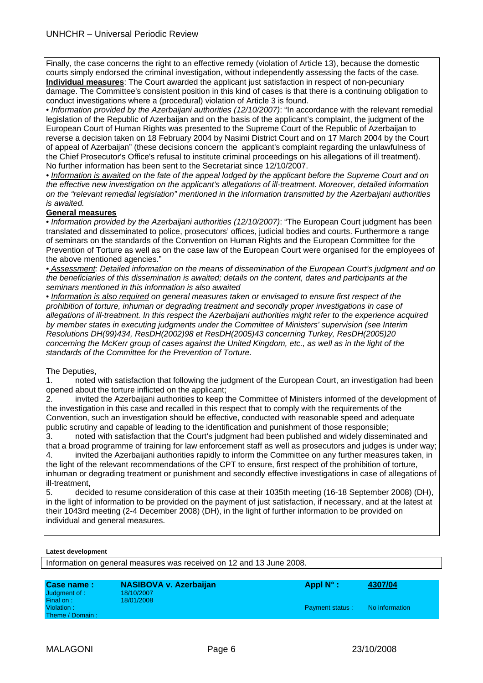Finally, the case concerns the right to an effective remedy (violation of Article 13), because the domestic courts simply endorsed the criminal investigation, without independently assessing the facts of the case. **Individual measures**: The Court awarded the applicant just satisfaction in respect of non-pecuniary damage. The Committee's consistent position in this kind of cases is that there is a continuing obligation to conduct investigations where a (procedural) violation of Article 3 is found.

• *Information provided by the Azerbaijani authorities (12/10/2007)*: "In accordance with the relevant remedial legislation of the Republic of Azerbaijan and on the basis of the applicant's complaint, the judgment of the European Court of Human Rights was presented to the Supreme Court of the Republic of Azerbaijan to reverse a decision taken on 18 February 2004 by Nasimi District Court and on 17 March 2004 by the Court of appeal of Azerbaijan" (these decisions concern the applicant's complaint regarding the unlawfulness of the Chief Prosecutor's Office's refusal to institute criminal proceedings on his allegations of ill treatment). No further information has been sent to the Secretariat since 12/10/2007.

*• Information is awaited on the fate of the appeal lodged by the applicant before the Supreme Court and on the effective new investigation on the applicant's allegations of ill-treatment. Moreover, detailed information on the "relevant remedial legislation" mentioned in the information transmitted by the Azerbaijani authorities is awaited.* 

#### **General measures**

• *Information provided by the Azerbaijani authorities (12/10/2007)*: "The European Court judgment has been translated and disseminated to police, prosecutors' offices, judicial bodies and courts. Furthermore a range of seminars on the standards of the Convention on Human Rights and the European Committee for the Prevention of Torture as well as on the case law of the European Court were organised for the employees of the above mentioned agencies."

*• Assessment: Detailed information on the means of dissemination of the European Court's judgment and on the beneficiaries of this dissemination is awaited; details on the content, dates and participants at the seminars mentioned in this information is also awaited*

• *Information is also required on general measures taken or envisaged to ensure first respect of the prohibition of torture, inhuman or degrading treatment and secondly proper investigations in case of allegations of ill-treatment. In this respect the Azerbaijani authorities might refer to the experience acquired by member states in executing judgments under the Committee of Ministers' supervision (see Interim Resolutions DH(99)434, ResDH(2002)98 et ResDH(2005)43 concerning Turkey, ResDH(2005)20 concerning the McKerr group of cases against the United Kingdom, etc., as well as in the light of the standards of the Committee for the Prevention of Torture.*

The Deputies,

1. noted with satisfaction that following the judgment of the European Court, an investigation had been opened about the torture inflicted on the applicant;

2. invited the Azerbaijani authorities to keep the Committee of Ministers informed of the development of the investigation in this case and recalled in this respect that to comply with the requirements of the Convention, such an investigation should be effective, conducted with reasonable speed and adequate public scrutiny and capable of leading to the identification and punishment of those responsible;

3. noted with satisfaction that the Court's judgment had been published and widely disseminated and that a broad programme of training for law enforcement staff as well as prosecutors and judges is under way; 4. invited the Azerbaijani authorities rapidly to inform the Committee on any further measures taken, in the light of the relevant recommendations of the CPT to ensure, first respect of the prohibition of torture, inhuman or degrading treatment or punishment and secondly effective investigations in case of allegations of

ill-treatment,

5. decided to resume consideration of this case at their 1035th meeting (16-18 September 2008) (DH), in the light of information to be provided on the payment of just satisfaction, if necessary, and at the latest at their 1043rd meeting (2-4 December 2008) (DH), in the light of further information to be provided on individual and general measures.

#### **Latest development**

Information on general measures was received on 12 and 13 June 2008.

| Case name:      | <b>NASIBOVA v. Azerbaijan</b> | Appl $N^{\circ}$ :     | 4307/04        |
|-----------------|-------------------------------|------------------------|----------------|
| Judgment of :   | 18/10/2007                    |                        |                |
| Final on:       | 18/01/2008                    |                        |                |
| Violation:      |                               | <b>Payment status:</b> | No information |
| Theme / Domain: |                               |                        |                |